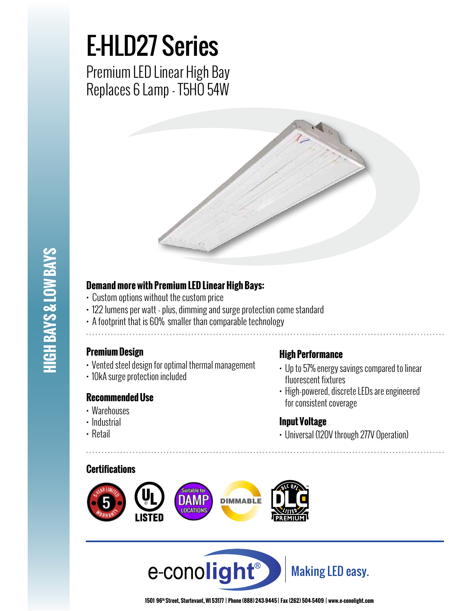## E-HLD27 Series

Premium LED Linear High Bay Replaces 6 Lamp - T5HO 54W



# **HIGH BAYS & LOW BAYS HIGH BAYS & LOW BAYS**

#### **Demand more with Premium LED Linear High Bays:**

- Custom options without the custom price
- 122 lumens per watt plus, dimming and surge protection come standard
- A footprint that is 60% smaller than comparable technology
- 

#### **Premium Design**

- Vented steel design for optimal thermal management
- 10kA surge protection included

#### **Recommended Use**

- Warehouses
- Industrial
- Retail

#### **High Performance**

- Up to 57% energy savings compared to linear fluorescent fixtures
- High-powered, discrete LEDs are engineered for consistent coverage

#### **Input Voltage**

• Universal (120V through 277V Operation)

#### **Certifications**





**1501 96th Street, Sturtevant, WI 53177 | Phone (888) 243-9445 | Fax (262) 504-5409 | www.e–conolight.com**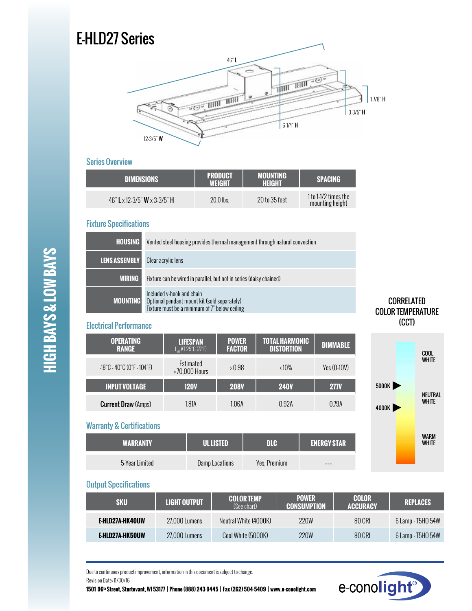### E-HLD27 Series



#### Series Overview

| <b>DIMENSIONS</b>            | <b>PRODUCT</b><br>WFIGHT | <b>MOUNTING</b><br>HEIGHT | <b>SPACING</b>                          |
|------------------------------|--------------------------|---------------------------|-----------------------------------------|
| 46" L x 12-3/5" W x 3-3/5" H | $20.0$ lbs.              | 20 to 35 feet             | 1 to 1-1/2 times the<br>mounting height |

#### Fixture Specifications

| <b>HOUSING</b>  | Vented steel housing provides thermal management through natural convection                                                |
|-----------------|----------------------------------------------------------------------------------------------------------------------------|
| LENS ASSEMBLY   | Clear acrylic lens                                                                                                         |
| <b>WIRING</b>   | Fixture can be wired in parallel, but not in series (daisy chained)                                                        |
| <b>MOUNTING</b> | Included v-hook and chain<br>Optional pendant mount kit (sold separately)<br>Fixture must be a minimum of 7" below ceiling |

#### Electrical Performance

| <b>OPERATING</b><br><b>RANGE</b>                                      | <b>LIFESPAN</b><br>$L_n$ AT 25°C $(77°F)$ | <b>POWER</b><br><b>FACTOR</b> | <b>TOTAL HARMONIC</b><br><b>DISTORTION</b> | <b>DIMMABLE</b> |
|-----------------------------------------------------------------------|-------------------------------------------|-------------------------------|--------------------------------------------|-----------------|
| $-18^{\circ}$ C - 40 $^{\circ}$ C (0 $^{\circ}$ F - 104 $^{\circ}$ F) | Estimated<br>>70,000 Hours                | > 0.98                        | $\langle 10\%$                             | Yes (0-10V)     |
| <b>INPUT VOLTAGE</b>                                                  | <b>120V</b>                               | <b>208V</b>                   | <b>240V</b>                                | <b>277V</b>     |
| <b>Current Draw (Amps)</b>                                            | 1.81A                                     | 1.06A                         | 0.92A                                      | 0.79A           |

#### Warranty & Certifications

| <b>WARRANTY</b> | <b>ULLISTED</b> | <b>DIG</b>   | <b>ENERGY STAR</b> |
|-----------------|-----------------|--------------|--------------------|
| 5-Year Limited  | Damp Locations  | Yes, Premium | ---                |

#### COOL WHITE NEUTRAL WHITE 4000K 5000K (CCT)

CORRELATED COLOR TEMPERATURE

## WARM **WHITE**

#### Output Specifications

| SKU             | LIGHT OUTPUT  | <b>COLOR TEMP</b><br>(See chart) | <b>POWER</b><br><b>CONSUMPTION</b> | <b>COLOR</b><br><b>ACCURACY</b> | <b>REPLACES</b>   |
|-----------------|---------------|----------------------------------|------------------------------------|---------------------------------|-------------------|
| E-HLD27A-HK40UW | 27.000 Lumens | Neutral White (4000K)            | 220W                               | 80 CRI                          | 6 Lamp - T5HO 54W |
| E-HLD27A-HK50UW | 27.000 Lumens | Cool White (5000K)               | <b>220W</b>                        | 80 CRI                          | 6 Lamp - T5HO 54W |

Due to continuous product improvement, information in this document is subject to change. Revision Date: 11/30/16

**1501 96th Street, Sturtevant, WI 53177 | Phone (888) 243-9445 | Fax (262) 504-5409 | www.e–conolight.com**



# **HIGH BAYS & LOW BAYS HIGH BAYS & LOW BAYS**